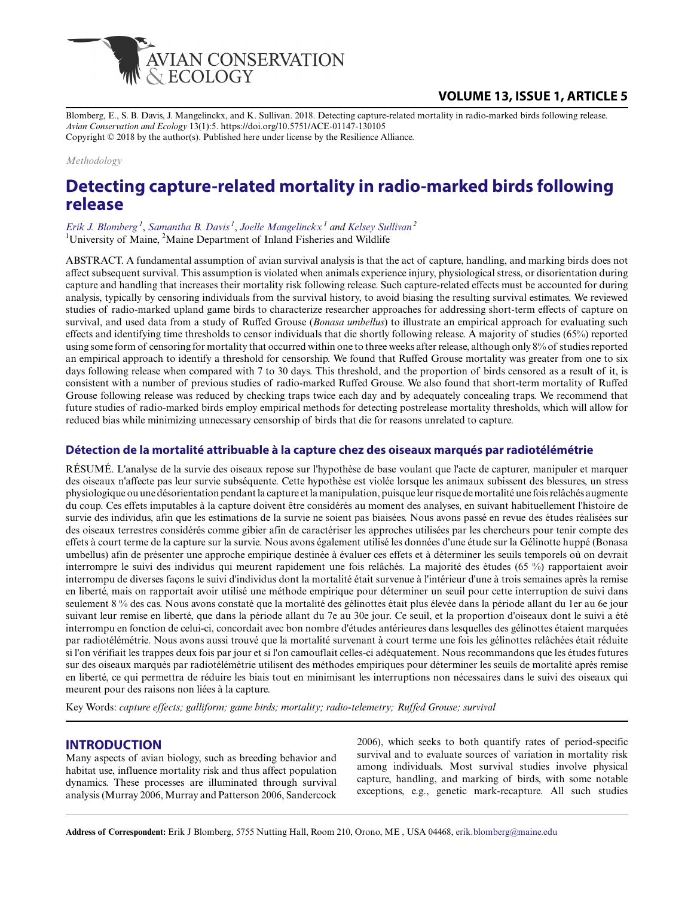

### **VOLUME 13, ISSUE 1, ARTICLE 5**

Blomberg, E., S. B. Davis, J. Mangelinckx, and K. Sullivan. 2018. Detecting capture-related mortality in radio-marked birds following release. *Avian Conservation and Ecology* 13(1):5. https://doi.org/10.5751/ACE-01147-130105 Copyright © 2018 by the author(s). Published here under license by the Resilience Alliance.

*Methodology*

# **Detecting capture-related mortality in radio-marked birds following release**

*[Erik J. Blomberg](mailto:erik.blomberg@maine.edu)<sup>1</sup>* , *[Samantha B. Davis](mailto:samantha.davis2@maine.edu)<sup>1</sup>* , *[Joelle Mangelinckx](mailto:joelle.mangelinckx@maine.edu)<sup>1</sup> and [Kelsey Sullivan](mailto:kelsey.m.sullivan@maine.gov)<sup>2</sup>* <sup>1</sup>University of Maine, <sup>2</sup>Maine Department of Inland Fisheries and Wildlife

ABSTRACT. A fundamental assumption of avian survival analysis is that the act of capture, handling, and marking birds does not affect subsequent survival. This assumption is violated when animals experience injury, physiological stress, or disorientation during capture and handling that increases their mortality risk following release. Such capture-related effects must be accounted for during analysis, typically by censoring individuals from the survival history, to avoid biasing the resulting survival estimates. We reviewed studies of radio-marked upland game birds to characterize researcher approaches for addressing short-term effects of capture on survival, and used data from a study of Ruffed Grouse (*Bonasa umbellus*) to illustrate an empirical approach for evaluating such effects and identifying time thresholds to censor individuals that die shortly following release. A majority of studies (65%) reported using some form of censoring for mortality that occurred within one to three weeks after release, although only 8% of studies reported an empirical approach to identify a threshold for censorship. We found that Ruffed Grouse mortality was greater from one to six days following release when compared with 7 to 30 days. This threshold, and the proportion of birds censored as a result of it, is consistent with a number of previous studies of radio-marked Ruffed Grouse. We also found that short-term mortality of Ruffed Grouse following release was reduced by checking traps twice each day and by adequately concealing traps. We recommend that future studies of radio-marked birds employ empirical methods for detecting postrelease mortality thresholds, which will allow for reduced bias while minimizing unnecessary censorship of birds that die for reasons unrelated to capture.

### **Détection de la mortalité attribuable à la capture chez des oiseaux marqués par radiotélémétrie**

RÉSUMÉ. L'analyse de la survie des oiseaux repose sur l'hypothèse de base voulant que l'acte de capturer, manipuler et marquer des oiseaux n'affecte pas leur survie subséquente. Cette hypothèse est violée lorsque les animaux subissent des blessures, un stress physiologique ou une désorientation pendant la capture et la manipulation, puisque leur risque de mortalité une fois relâchés augmente du coup. Ces effets imputables à la capture doivent être considérés au moment des analyses, en suivant habituellement l'histoire de survie des individus, afin que les estimations de la survie ne soient pas biaisées. Nous avons passé en revue des études réalisées sur des oiseaux terrestres considérés comme gibier afin de caractériser les approches utilisées par les chercheurs pour tenir compte des effets à court terme de la capture sur la survie. Nous avons également utilisé les données d'une étude sur la Gélinotte huppé (Bonasa umbellus) afin de présenter une approche empirique destinée à évaluer ces effets et à déterminer les seuils temporels où on devrait interrompre le suivi des individus qui meurent rapidement une fois relâchés. La majorité des études (65 %) rapportaient avoir interrompu de diverses façons le suivi d'individus dont la mortalité était survenue à l'intérieur d'une à trois semaines après la remise en liberté, mais on rapportait avoir utilisé une méthode empirique pour déterminer un seuil pour cette interruption de suivi dans seulement 8 % des cas. Nous avons constaté que la mortalité des gélinottes était plus élevée dans la période allant du 1er au 6e jour suivant leur remise en liberté, que dans la période allant du 7e au 30e jour. Ce seuil, et la proportion d'oiseaux dont le suivi a été interrompu en fonction de celui-ci, concordait avec bon nombre d'études antérieures dans lesquelles des gélinottes étaient marquées par radiotélémétrie. Nous avons aussi trouvé que la mortalité survenant à court terme une fois les gélinottes relâchées était réduite si l'on vérifiait les trappes deux fois par jour et si l'on camouflait celles-ci adéquatement. Nous recommandons que les études futures sur des oiseaux marqués par radiotélémétrie utilisent des méthodes empiriques pour déterminer les seuils de mortalité après remise en liberté, ce qui permettra de réduire les biais tout en minimisant les interruptions non nécessaires dans le suivi des oiseaux qui meurent pour des raisons non liées à la capture.

Key Words: *capture effects; galliform; game birds; mortality; radio-telemetry; Ruffed Grouse; survival*

### **INTRODUCTION**

Many aspects of avian biology, such as breeding behavior and habitat use, influence mortality risk and thus affect population dynamics. These processes are illuminated through survival analysis (Murray 2006, Murray and Patterson 2006, Sandercock 2006), which seeks to both quantify rates of period-specific survival and to evaluate sources of variation in mortality risk among individuals. Most survival studies involve physical capture, handling, and marking of birds, with some notable exceptions, e.g., genetic mark-recapture. All such studies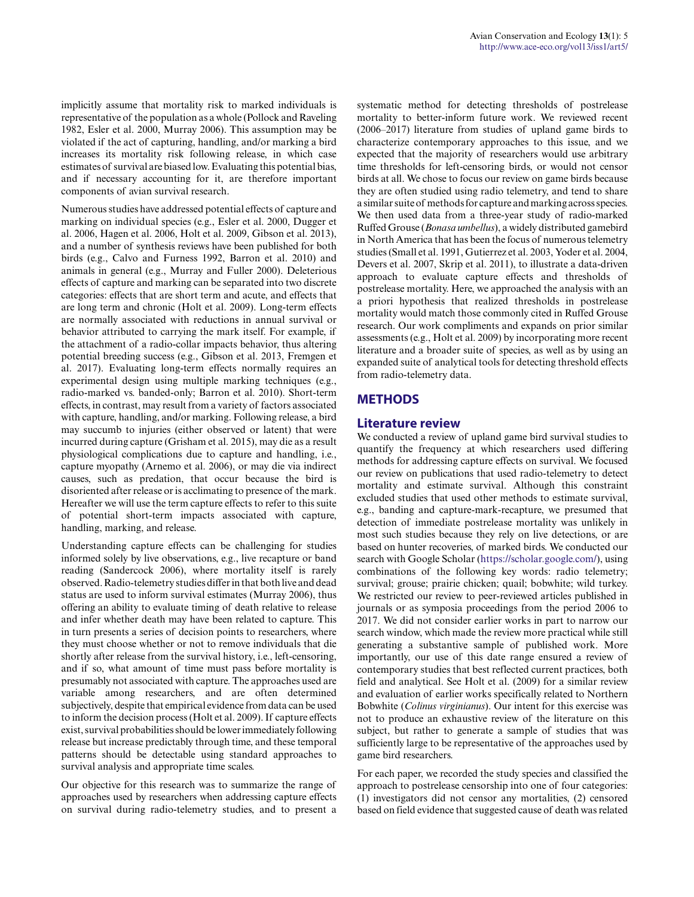implicitly assume that mortality risk to marked individuals is representative of the population as a whole (Pollock and Raveling 1982, Esler et al. 2000, Murray 2006). This assumption may be violated if the act of capturing, handling, and/or marking a bird increases its mortality risk following release, in which case estimates of survival are biased low. Evaluating this potential bias, and if necessary accounting for it, are therefore important components of avian survival research.

Numerous studies have addressed potential effects of capture and marking on individual species (e.g., Esler et al. 2000, Dugger et al. 2006, Hagen et al. 2006, Holt et al. 2009, Gibson et al. 2013), and a number of synthesis reviews have been published for both birds (e.g., Calvo and Furness 1992, Barron et al. 2010) and animals in general (e.g., Murray and Fuller 2000). Deleterious effects of capture and marking can be separated into two discrete categories: effects that are short term and acute, and effects that are long term and chronic (Holt et al. 2009). Long-term effects are normally associated with reductions in annual survival or behavior attributed to carrying the mark itself. For example, if the attachment of a radio-collar impacts behavior, thus altering potential breeding success (e.g., Gibson et al. 2013, Fremgen et al. 2017). Evaluating long-term effects normally requires an experimental design using multiple marking techniques (e.g., radio-marked vs. banded-only; Barron et al. 2010). Short-term effects, in contrast, may result from a variety of factors associated with capture, handling, and/or marking. Following release, a bird may succumb to injuries (either observed or latent) that were incurred during capture (Grisham et al. 2015), may die as a result physiological complications due to capture and handling, i.e., capture myopathy (Arnemo et al. 2006), or may die via indirect causes, such as predation, that occur because the bird is disoriented after release or is acclimating to presence of the mark. Hereafter we will use the term capture effects to refer to this suite of potential short-term impacts associated with capture, handling, marking, and release.

Understanding capture effects can be challenging for studies informed solely by live observations, e.g., live recapture or band reading (Sandercock 2006), where mortality itself is rarely observed. Radio-telemetry studies differ in that both live and dead status are used to inform survival estimates (Murray 2006), thus offering an ability to evaluate timing of death relative to release and infer whether death may have been related to capture. This in turn presents a series of decision points to researchers, where they must choose whether or not to remove individuals that die shortly after release from the survival history, i.e., left-censoring, and if so, what amount of time must pass before mortality is presumably not associated with capture. The approaches used are variable among researchers, and are often determined subjectively, despite that empirical evidence from data can be used to inform the decision process (Holt et al. 2009). If capture effects exist, survival probabilities should be lower immediately following release but increase predictably through time, and these temporal patterns should be detectable using standard approaches to survival analysis and appropriate time scales.

Our objective for this research was to summarize the range of approaches used by researchers when addressing capture effects on survival during radio-telemetry studies, and to present a systematic method for detecting thresholds of postrelease mortality to better-inform future work. We reviewed recent (2006–2017) literature from studies of upland game birds to characterize contemporary approaches to this issue, and we expected that the majority of researchers would use arbitrary time thresholds for left-censoring birds, or would not censor birds at all. We chose to focus our review on game birds because they are often studied using radio telemetry, and tend to share a similar suite of methods for capture and marking across species. We then used data from a three-year study of radio-marked Ruffed Grouse (*Bonasa umbellus*), a widely distributed gamebird in North America that has been the focus of numerous telemetry studies (Small et al. 1991, Gutierrez et al. 2003, Yoder et al. 2004, Devers et al. 2007, Skrip et al. 2011), to illustrate a data-driven approach to evaluate capture effects and thresholds of postrelease mortality. Here, we approached the analysis with an a priori hypothesis that realized thresholds in postrelease mortality would match those commonly cited in Ruffed Grouse research. Our work compliments and expands on prior similar assessments (e.g., Holt et al. 2009) by incorporating more recent literature and a broader suite of species, as well as by using an expanded suite of analytical tools for detecting threshold effects from radio-telemetry data.

### **METHODS**

### **Literature review**

We conducted a review of upland game bird survival studies to quantify the frequency at which researchers used differing methods for addressing capture effects on survival. We focused our review on publications that used radio-telemetry to detect mortality and estimate survival. Although this constraint excluded studies that used other methods to estimate survival, e.g., banding and capture-mark-recapture, we presumed that detection of immediate postrelease mortality was unlikely in most such studies because they rely on live detections, or are based on hunter recoveries, of marked birds. We conducted our search with Google Scholar (<https://scholar.google.com/>), using combinations of the following key words: radio telemetry; survival; grouse; prairie chicken; quail; bobwhite; wild turkey. We restricted our review to peer-reviewed articles published in journals or as symposia proceedings from the period 2006 to 2017. We did not consider earlier works in part to narrow our search window, which made the review more practical while still generating a substantive sample of published work. More importantly, our use of this date range ensured a review of contemporary studies that best reflected current practices, both field and analytical. See Holt et al. (2009) for a similar review and evaluation of earlier works specifically related to Northern Bobwhite (*Colinus virginianus*). Our intent for this exercise was not to produce an exhaustive review of the literature on this subject, but rather to generate a sample of studies that was sufficiently large to be representative of the approaches used by game bird researchers.

For each paper, we recorded the study species and classified the approach to postrelease censorship into one of four categories: (1) investigators did not censor any mortalities, (2) censored based on field evidence that suggested cause of death was related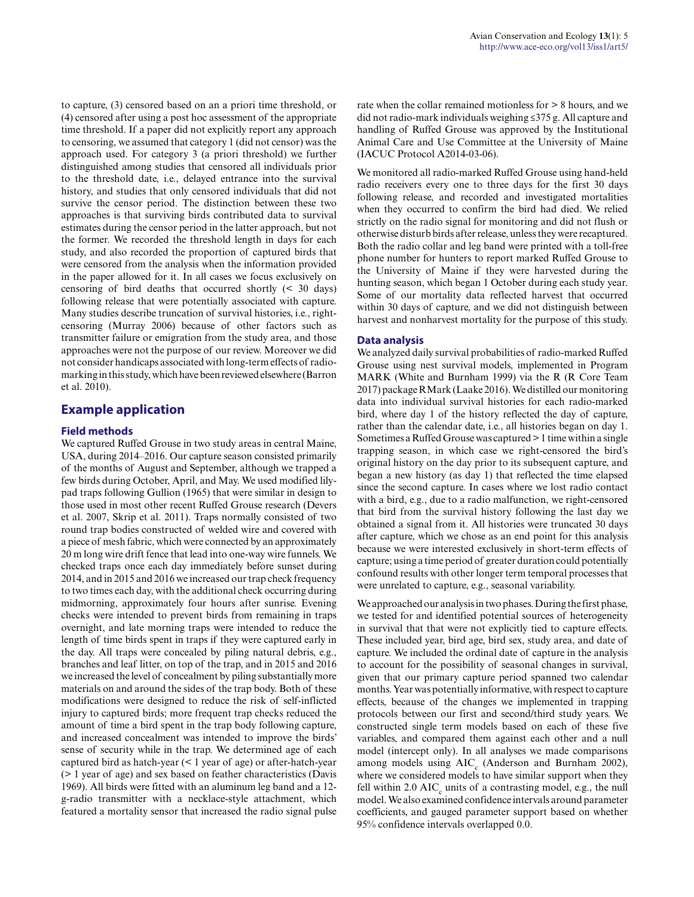to capture, (3) censored based on an a priori time threshold, or (4) censored after using a post hoc assessment of the appropriate time threshold. If a paper did not explicitly report any approach to censoring, we assumed that category 1 (did not censor) was the approach used. For category 3 (a priori threshold) we further distinguished among studies that censored all individuals prior to the threshold date, i.e., delayed entrance into the survival history, and studies that only censored individuals that did not survive the censor period. The distinction between these two approaches is that surviving birds contributed data to survival estimates during the censor period in the latter approach, but not the former. We recorded the threshold length in days for each study, and also recorded the proportion of captured birds that were censored from the analysis when the information provided in the paper allowed for it. In all cases we focus exclusively on censoring of bird deaths that occurred shortly (< 30 days) following release that were potentially associated with capture. Many studies describe truncation of survival histories, i.e., rightcensoring (Murray 2006) because of other factors such as transmitter failure or emigration from the study area, and those approaches were not the purpose of our review. Moreover we did not consider handicaps associated with long-term effects of radiomarking in this study, which have been reviewed elsewhere (Barron et al. 2010).

### **Example application**

#### **Field methods**

We captured Ruffed Grouse in two study areas in central Maine, USA, during 2014–2016. Our capture season consisted primarily of the months of August and September, although we trapped a few birds during October, April, and May. We used modified lilypad traps following Gullion (1965) that were similar in design to those used in most other recent Ruffed Grouse research (Devers et al. 2007, Skrip et al. 2011). Traps normally consisted of two round trap bodies constructed of welded wire and covered with a piece of mesh fabric, which were connected by an approximately 20 m long wire drift fence that lead into one-way wire funnels. We checked traps once each day immediately before sunset during 2014, and in 2015 and 2016 we increased our trap check frequency to two times each day, with the additional check occurring during midmorning, approximately four hours after sunrise. Evening checks were intended to prevent birds from remaining in traps overnight, and late morning traps were intended to reduce the length of time birds spent in traps if they were captured early in the day. All traps were concealed by piling natural debris, e.g., branches and leaf litter, on top of the trap, and in 2015 and 2016 we increased the level of concealment by piling substantially more materials on and around the sides of the trap body. Both of these modifications were designed to reduce the risk of self-inflicted injury to captured birds; more frequent trap checks reduced the amount of time a bird spent in the trap body following capture, and increased concealment was intended to improve the birds' sense of security while in the trap. We determined age of each captured bird as hatch-year (< 1 year of age) or after-hatch-year (> 1 year of age) and sex based on feather characteristics (Davis 1969). All birds were fitted with an aluminum leg band and a 12 g-radio transmitter with a necklace-style attachment, which featured a mortality sensor that increased the radio signal pulse rate when the collar remained motionless for > 8 hours, and we did not radio-mark individuals weighing ≤375 g. All capture and handling of Ruffed Grouse was approved by the Institutional Animal Care and Use Committee at the University of Maine (IACUC Protocol A2014-03-06).

We monitored all radio-marked Ruffed Grouse using hand-held radio receivers every one to three days for the first 30 days following release, and recorded and investigated mortalities when they occurred to confirm the bird had died. We relied strictly on the radio signal for monitoring and did not flush or otherwise disturb birds after release, unless they were recaptured. Both the radio collar and leg band were printed with a toll-free phone number for hunters to report marked Ruffed Grouse to the University of Maine if they were harvested during the hunting season, which began 1 October during each study year. Some of our mortality data reflected harvest that occurred within 30 days of capture, and we did not distinguish between harvest and nonharvest mortality for the purpose of this study.

#### **Data analysis**

We analyzed daily survival probabilities of radio-marked Ruffed Grouse using nest survival models, implemented in Program MARK (White and Burnham 1999) via the R (R Core Team 2017) package RMark (Laake 2016). We distilled our monitoring data into individual survival histories for each radio-marked bird, where day 1 of the history reflected the day of capture, rather than the calendar date, i.e., all histories began on day 1. Sometimes a Ruffed Grouse was captured > 1 time within a single trapping season, in which case we right-censored the bird's original history on the day prior to its subsequent capture, and began a new history (as day 1) that reflected the time elapsed since the second capture. In cases where we lost radio contact with a bird, e.g., due to a radio malfunction, we right-censored that bird from the survival history following the last day we obtained a signal from it. All histories were truncated 30 days after capture, which we chose as an end point for this analysis because we were interested exclusively in short-term effects of capture; using a time period of greater duration could potentially confound results with other longer term temporal processes that were unrelated to capture, e.g., seasonal variability.

We approached our analysis in two phases. During the first phase, we tested for and identified potential sources of heterogeneity in survival that that were not explicitly tied to capture effects. These included year, bird age, bird sex, study area, and date of capture. We included the ordinal date of capture in the analysis to account for the possibility of seasonal changes in survival, given that our primary capture period spanned two calendar months. Year was potentially informative, with respect to capture effects, because of the changes we implemented in trapping protocols between our first and second/third study years. We constructed single term models based on each of these five variables, and compared them against each other and a null model (intercept only). In all analyses we made comparisons among models using  $AIC_c$  (Anderson and Burnham 2002), where we considered models to have similar support when they fell within 2.0  $AIC_c$  units of a contrasting model, e.g., the null model. We also examined confidence intervals around parameter coefficients, and gauged parameter support based on whether 95% confidence intervals overlapped 0.0.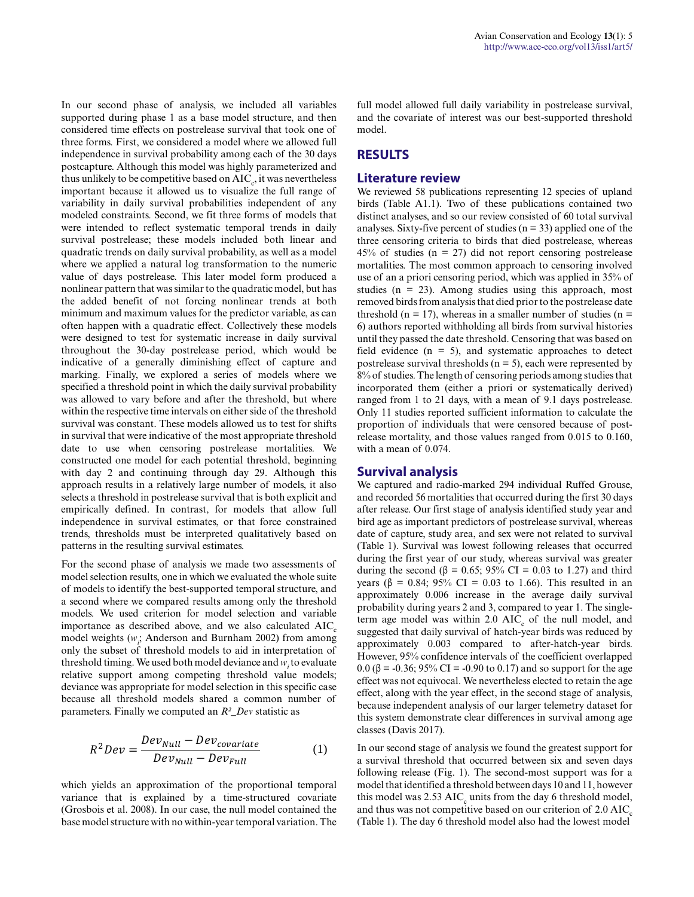In our second phase of analysis, we included all variables supported during phase 1 as a base model structure, and then considered time effects on postrelease survival that took one of three forms. First, we considered a model where we allowed full independence in survival probability among each of the 30 days postcapture. Although this model was highly parameterized and thus unlikely to be competitive based on  $\mathrm{AIC}_c$ , it was nevertheless important because it allowed us to visualize the full range of variability in daily survival probabilities independent of any modeled constraints. Second, we fit three forms of models that were intended to reflect systematic temporal trends in daily survival postrelease; these models included both linear and quadratic trends on daily survival probability, as well as a model where we applied a natural log transformation to the numeric value of days postrelease. This later model form produced a nonlinear pattern that was similar to the quadratic model, but has the added benefit of not forcing nonlinear trends at both minimum and maximum values for the predictor variable, as can often happen with a quadratic effect. Collectively these models were designed to test for systematic increase in daily survival throughout the 30-day postrelease period, which would be indicative of a generally diminishing effect of capture and marking. Finally, we explored a series of models where we specified a threshold point in which the daily survival probability was allowed to vary before and after the threshold, but where within the respective time intervals on either side of the threshold survival was constant. These models allowed us to test for shifts in survival that were indicative of the most appropriate threshold date to use when censoring postrelease mortalities. We constructed one model for each potential threshold, beginning with day 2 and continuing through day 29. Although this approach results in a relatively large number of models, it also selects a threshold in postrelease survival that is both explicit and empirically defined. In contrast, for models that allow full independence in survival estimates, or that force constrained trends, thresholds must be interpreted qualitatively based on patterns in the resulting survival estimates.

For the second phase of analysis we made two assessments of model selection results, one in which we evaluated the whole suite of models to identify the best-supported temporal structure, and a second where we compared results among only the threshold models. We used criterion for model selection and variable importance as described above, and we also calculated  $AIC$ . model weights (*w<sup>i</sup>* ; Anderson and Burnham 2002) from among only the subset of threshold models to aid in interpretation of threshold timing. We used both model deviance and  $w<sub>i</sub>$  to evaluate relative support among competing threshold value models; deviance was appropriate for model selection in this specific case because all threshold models shared a common number of parameters. Finally we computed an *R²\_Dev* statistic as

$$
R^{2}Dev = \frac{Dev_{Null} - Dev_{covariate}}{Dev_{Null} - Dev_{Full}} \tag{1}
$$

which yields an approximation of the proportional temporal variance that is explained by a time-structured covariate (Grosbois et al. 2008). In our case, the null model contained the base model structure with no within-year temporal variation. The full model allowed full daily variability in postrelease survival, and the covariate of interest was our best-supported threshold model.

### **RESULTS**

#### **Literature review**

We reviewed 58 publications representing 12 species of upland birds (Table A1.1). Two of these publications contained two distinct analyses, and so our review consisted of 60 total survival analyses. Sixty-five percent of studies ( $n = 33$ ) applied one of the three censoring criteria to birds that died postrelease, whereas  $45%$  of studies (n = 27) did not report censoring postrelease mortalities. The most common approach to censoring involved use of an a priori censoring period, which was applied in 35% of studies ( $n = 23$ ). Among studies using this approach, most removed birds from analysis that died prior to the postrelease date threshold ( $n = 17$ ), whereas in a smaller number of studies ( $n =$ 6) authors reported withholding all birds from survival histories until they passed the date threshold. Censoring that was based on field evidence  $(n = 5)$ , and systematic approaches to detect postrelease survival thresholds ( $n = 5$ ), each were represented by 8% of studies. The length of censoring periods among studies that incorporated them (either a priori or systematically derived) ranged from 1 to 21 days, with a mean of 9.1 days postrelease. Only 11 studies reported sufficient information to calculate the proportion of individuals that were censored because of postrelease mortality, and those values ranged from 0.015 to 0.160, with a mean of 0.074.

#### **Survival analysis**

We captured and radio-marked 294 individual Ruffed Grouse, and recorded 56 mortalities that occurred during the first 30 days after release. Our first stage of analysis identified study year and bird age as important predictors of postrelease survival, whereas date of capture, study area, and sex were not related to survival (Table 1). Survival was lowest following releases that occurred during the first year of our study, whereas survival was greater during the second (β = 0.65; 95% CI = 0.03 to 1.27) and third years (β = 0.84; 95% CI = 0.03 to 1.66). This resulted in an approximately 0.006 increase in the average daily survival probability during years 2 and 3, compared to year 1. The singleterm age model was within 2.0  $AIC_c$  of the null model, and suggested that daily survival of hatch-year birds was reduced by approximately 0.003 compared to after-hatch-year birds. However, 95% confidence intervals of the coefficient overlapped 0.0 (β = -0.36; 95% CI = -0.90 to 0.17) and so support for the age effect was not equivocal. We nevertheless elected to retain the age effect, along with the year effect, in the second stage of analysis, because independent analysis of our larger telemetry dataset for this system demonstrate clear differences in survival among age classes (Davis 2017).

In our second stage of analysis we found the greatest support for a survival threshold that occurred between six and seven days following release (Fig. 1). The second-most support was for a model that identified a threshold between days 10 and 11, however this model was 2.53  $AIC_c$  units from the day 6 threshold model, and thus was not competitive based on our criterion of  $2.0 \text{ AIC}_c$ . (Table 1). The day 6 threshold model also had the lowest model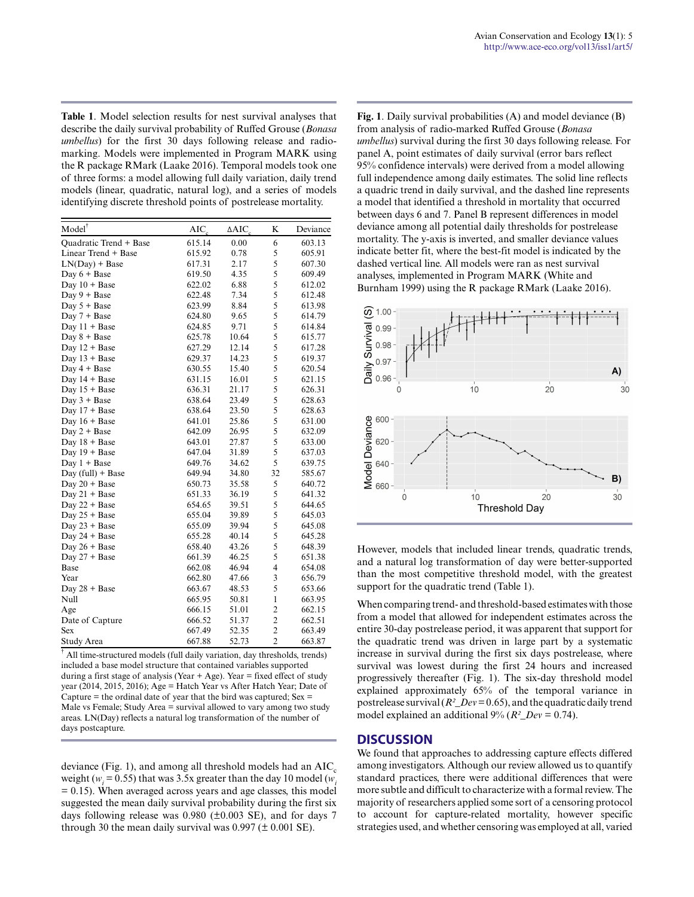**Table 1**. Model selection results for nest survival analyses that describe the daily survival probability of Ruffed Grouse (*Bonasa umbellus*) for the first 30 days following release and radiomarking. Models were implemented in Program MARK using the R package RMark (Laake 2016). Temporal models took one of three forms: a model allowing full daily variation, daily trend models (linear, quadratic, natural log), and a series of models identifying discrete threshold points of postrelease mortality.

| $\underline{M}$ odel <sup>†</sup> | AIC    | $\triangle AIC$ | K              | Deviance |
|-----------------------------------|--------|-----------------|----------------|----------|
| <b>Ouadratic Trend + Base</b>     | 615.14 | 0.00            | 6              | 603.13   |
| Linear Trend + Base               | 615.92 | 0.78            | 5              | 605.91   |
| $LN(Day) + Base$                  | 617.31 | 2.17            | 5              | 607.30   |
| Day $6 + Base$                    | 619.50 | 4.35            | 5              | 609.49   |
| Day $10 + Base$                   | 622.02 | 6.88            | 5              | 612.02   |
| Day $9 + Base$                    | 622.48 | 7.34            | 5              | 612.48   |
| Day $5 + Base$                    | 623.99 | 8.84            | 5              | 613.98   |
| Day $7 + Base$                    | 624.80 | 9.65            | 5              | 614.79   |
| Day $11 + Base$                   | 624.85 | 9.71            | 5              | 614.84   |
| Day $8 + Base$                    | 625.78 | 10.64           | 5              | 615.77   |
| Day $12 + Base$                   | 627.29 | 12.14           | 5              | 617.28   |
| Day $13 + Base$                   | 629.37 | 14.23           | 5              | 619.37   |
| Day $4 + Base$                    | 630.55 | 15.40           | 5              | 620.54   |
| Day $14 + Base$                   | 631.15 | 16.01           | 5              | 621.15   |
| Day $15 + Base$                   | 636.31 | 21.17           | 5              | 626.31   |
| Day $3 + Base$                    | 638.64 | 23.49           | 5              | 628.63   |
| Day $17 + Base$                   | 638.64 | 23.50           | 5              | 628.63   |
| Day $16 + Base$                   | 641.01 | 25.86           | 5              | 631.00   |
| Day $2 + Base$                    | 642.09 | 26.95           | 5              | 632.09   |
| Day $18 + \text{Base}$            | 643.01 | 27.87           | 5              | 633.00   |
| Day $19 + Base$                   | 647.04 | 31.89           | 5              | 637.03   |
| Day $1 + Base$                    | 649.76 | 34.62           | 5              | 639.75   |
| $Day (full) + Base$               | 649.94 | 34.80           | 32             | 585.67   |
| Day $20 + Base$                   | 650.73 | 35.58           | 5              | 640.72   |
| Day $21 + Base$                   | 651.33 | 36.19           | 5              | 641.32   |
| Day $22 + Base$                   | 654.65 | 39.51           | 5              | 644.65   |
| Day $25 + Base$                   | 655.04 | 39.89           | 5              | 645.03   |
| Day $23 + Base$                   | 655.09 | 39.94           | 5              | 645.08   |
| Day $24 + Base$                   | 655.28 | 40.14           | 5              | 645.28   |
| Day $26 + Base$                   | 658.40 | 43.26           | 5              | 648.39   |
| Day $27 + Base$                   | 661.39 | 46.25           | 5              | 651.38   |
| Base                              | 662.08 | 46.94           | $\overline{4}$ | 654.08   |
| Year                              | 662.80 | 47.66           | 3              | 656.79   |
| Day $28 + Base$                   | 663.67 | 48.53           | 5              | 653.66   |
| Null                              | 665.95 | 50.81           | $\mathbf{1}$   | 663.95   |
| Age                               | 666.15 | 51.01           | $\overline{c}$ | 662.15   |
| Date of Capture                   | 666.52 | 51.37           | $\overline{c}$ | 662.51   |
| <b>Sex</b>                        | 667.49 | 52.35           | $\overline{c}$ | 663.49   |
| Study Area                        | 667.88 | 52.73           | $\overline{2}$ | 663.87   |

† All time-structured models (full daily variation, day thresholds, trends) included a base model structure that contained variables supported during a first stage of analysis (Year + Age). Year = fixed effect of study year (2014, 2015, 2016); Age = Hatch Year vs After Hatch Year; Date of Capture  $=$  the ordinal date of year that the bird was captured; Sex  $=$ Male vs Female; Study Area = survival allowed to vary among two study areas. LN(Day) reflects a natural log transformation of the number of days postcapture.

deviance (Fig. 1), and among all threshold models had an  $AIC<sub>c</sub>$ weight ( $w_i = 0.55$ ) that was 3.5x greater than the day 10 model ( $w_i$  $= 0.15$ ). When averaged across years and age classes, this model suggested the mean daily survival probability during the first six days following release was 0.980 (±0.003 SE), and for days 7 through 30 the mean daily survival was  $0.997 \, (\pm 0.001 \, \text{SE})$ .

**Fig. 1**. Daily survival probabilities (A) and model deviance (B) from analysis of radio-marked Ruffed Grouse (*Bonasa umbellus*) survival during the first 30 days following release. For panel A, point estimates of daily survival (error bars reflect 95% confidence intervals) were derived from a model allowing full independence among daily estimates. The solid line reflects a quadric trend in daily survival, and the dashed line represents a model that identified a threshold in mortality that occurred between days 6 and 7. Panel B represent differences in model deviance among all potential daily thresholds for postrelease mortality. The y-axis is inverted, and smaller deviance values indicate better fit, where the best-fit model is indicated by the dashed vertical line. All models were ran as nest survival analyses, implemented in Program MARK (White and Burnham 1999) using the R package RMark (Laake 2016).



However, models that included linear trends, quadratic trends, and a natural log transformation of day were better-supported than the most competitive threshold model, with the greatest support for the quadratic trend (Table 1).

When comparing trend- and threshold-based estimates with those from a model that allowed for independent estimates across the entire 30-day postrelease period, it was apparent that support for the quadratic trend was driven in large part by a systematic increase in survival during the first six days postrelease, where survival was lowest during the first 24 hours and increased progressively thereafter (Fig. 1). The six-day threshold model explained approximately 65% of the temporal variance in postrelease survival ( $R^2$  *Dev* = 0.65), and the quadratic daily trend model explained an additional 9% (*R²\_Dev* = 0.74).

#### **DISCUSSION**

We found that approaches to addressing capture effects differed among investigators. Although our review allowed us to quantify standard practices, there were additional differences that were more subtle and difficult to characterize with a formal review. The majority of researchers applied some sort of a censoring protocol to account for capture-related mortality, however specific strategies used, and whether censoring was employed at all, varied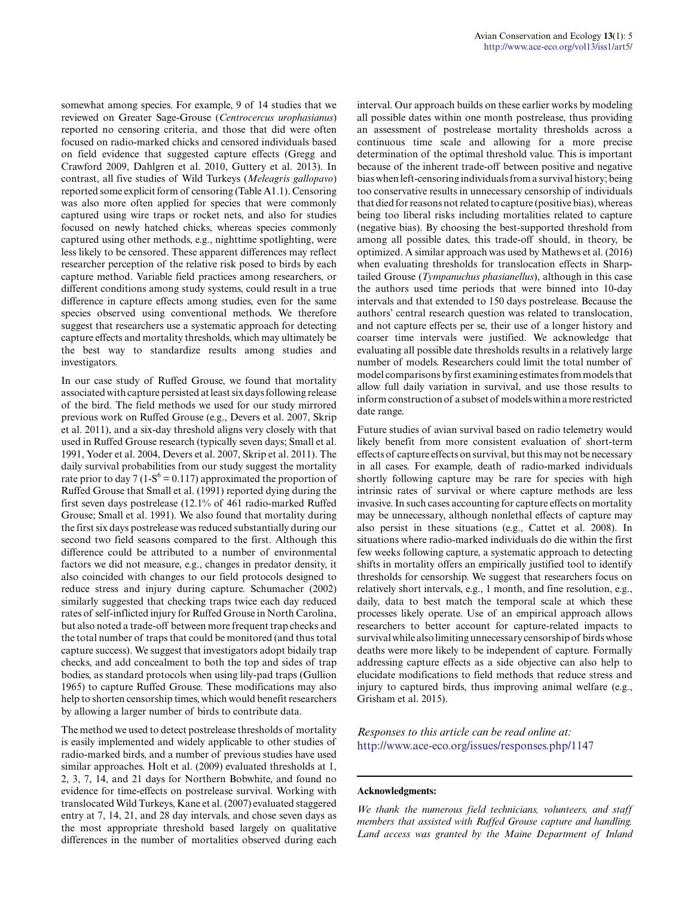somewhat among species. For example, 9 of 14 studies that we reviewed on Greater Sage-Grouse (*Centrocercus urophasianus*) reported no censoring criteria, and those that did were often focused on radio-marked chicks and censored individuals based on field evidence that suggested capture effects (Gregg and Crawford 2009, Dahlgren et al. 2010, Guttery et al. 2013). In contrast, all five studies of Wild Turkeys (*Meleagris gallopavo*) reported some explicit form of censoring (Table A1.1). Censoring was also more often applied for species that were commonly captured using wire traps or rocket nets, and also for studies focused on newly hatched chicks, whereas species commonly captured using other methods, e.g., nighttime spotlighting, were less likely to be censored. These apparent differences may reflect researcher perception of the relative risk posed to birds by each capture method. Variable field practices among researchers, or different conditions among study systems, could result in a true difference in capture effects among studies, even for the same species observed using conventional methods. We therefore suggest that researchers use a systematic approach for detecting capture effects and mortality thresholds, which may ultimately be the best way to standardize results among studies and investigators.

In our case study of Ruffed Grouse, we found that mortality associated with capture persisted at least six days following release of the bird. The field methods we used for our study mirrored previous work on Ruffed Grouse (e.g., Devers et al. 2007, Skrip et al. 2011), and a six-day threshold aligns very closely with that used in Ruffed Grouse research (typically seven days; Small et al. 1991, Yoder et al. 2004, Devers et al. 2007, Skrip et al. 2011). The daily survival probabilities from our study suggest the mortality rate prior to day 7 ( $1-S<sup>6</sup> = 0.117$ ) approximated the proportion of Ruffed Grouse that Small et al. (1991) reported dying during the first seven days postrelease (12.1% of 461 radio-marked Ruffed Grouse; Small et al. 1991). We also found that mortality during the first six days postrelease was reduced substantially during our second two field seasons compared to the first. Although this difference could be attributed to a number of environmental factors we did not measure, e.g., changes in predator density, it also coincided with changes to our field protocols designed to reduce stress and injury during capture. Schumacher (2002) similarly suggested that checking traps twice each day reduced rates of self-inflicted injury for Ruffed Grouse in North Carolina, but also noted a trade-off between more frequent trap checks and the total number of traps that could be monitored (and thus total capture success). We suggest that investigators adopt bidaily trap checks, and add concealment to both the top and sides of trap bodies, as standard protocols when using lily-pad traps (Gullion 1965) to capture Ruffed Grouse. These modifications may also help to shorten censorship times, which would benefit researchers by allowing a larger number of birds to contribute data.

The method we used to detect postrelease thresholds of mortality is easily implemented and widely applicable to other studies of radio-marked birds, and a number of previous studies have used similar approaches. Holt et al. (2009) evaluated thresholds at 1, 2, 3, 7, 14, and 21 days for Northern Bobwhite, and found no evidence for time-effects on postrelease survival. Working with translocated Wild Turkeys, Kane et al. (2007) evaluated staggered entry at 7, 14, 21, and 28 day intervals, and chose seven days as the most appropriate threshold based largely on qualitative differences in the number of mortalities observed during each interval. Our approach builds on these earlier works by modeling all possible dates within one month postrelease, thus providing an assessment of postrelease mortality thresholds across a continuous time scale and allowing for a more precise determination of the optimal threshold value. This is important because of the inherent trade-off between positive and negative bias when left-censoring individuals from a survival history; being too conservative results in unnecessary censorship of individuals that died for reasons not related to capture (positive bias), whereas being too liberal risks including mortalities related to capture (negative bias). By choosing the best-supported threshold from among all possible dates, this trade-off should, in theory, be optimized. A similar approach was used by Mathews et al. (2016) when evaluating thresholds for translocation effects in Sharptailed Grouse (*Tympanuchus phasianellus*), although in this case the authors used time periods that were binned into 10-day intervals and that extended to 150 days postrelease. Because the authors' central research question was related to translocation, and not capture effects per se, their use of a longer history and coarser time intervals were justified. We acknowledge that evaluating all possible date thresholds results in a relatively large number of models. Researchers could limit the total number of model comparisons by first examining estimates from models that allow full daily variation in survival, and use those results to inform construction of a subset of models within a more restricted date range.

Future studies of avian survival based on radio telemetry would likely benefit from more consistent evaluation of short-term effects of capture effects on survival, but this may not be necessary in all cases. For example, death of radio-marked individuals shortly following capture may be rare for species with high intrinsic rates of survival or where capture methods are less invasive. In such cases accounting for capture effects on mortality may be unnecessary, although nonlethal effects of capture may also persist in these situations (e.g., Cattet et al. 2008). In situations where radio-marked individuals do die within the first few weeks following capture, a systematic approach to detecting shifts in mortality offers an empirically justified tool to identify thresholds for censorship. We suggest that researchers focus on relatively short intervals, e.g., 1 month, and fine resolution, e.g., daily, data to best match the temporal scale at which these processes likely operate. Use of an empirical approach allows researchers to better account for capture-related impacts to survival while also limiting unnecessary censorship of birds whose deaths were more likely to be independent of capture. Formally addressing capture effects as a side objective can also help to elucidate modifications to field methods that reduce stress and injury to captured birds, thus improving animal welfare (e.g., Grisham et al. 2015).

*Responses to this article can be read online at:* <http://www.ace-eco.org/issues/responses.php/1147>

#### **Acknowledgments:**

*We thank the numerous field technicians, volunteers, and staff members that assisted with Ruffed Grouse capture and handling. Land access was granted by the Maine Department of Inland*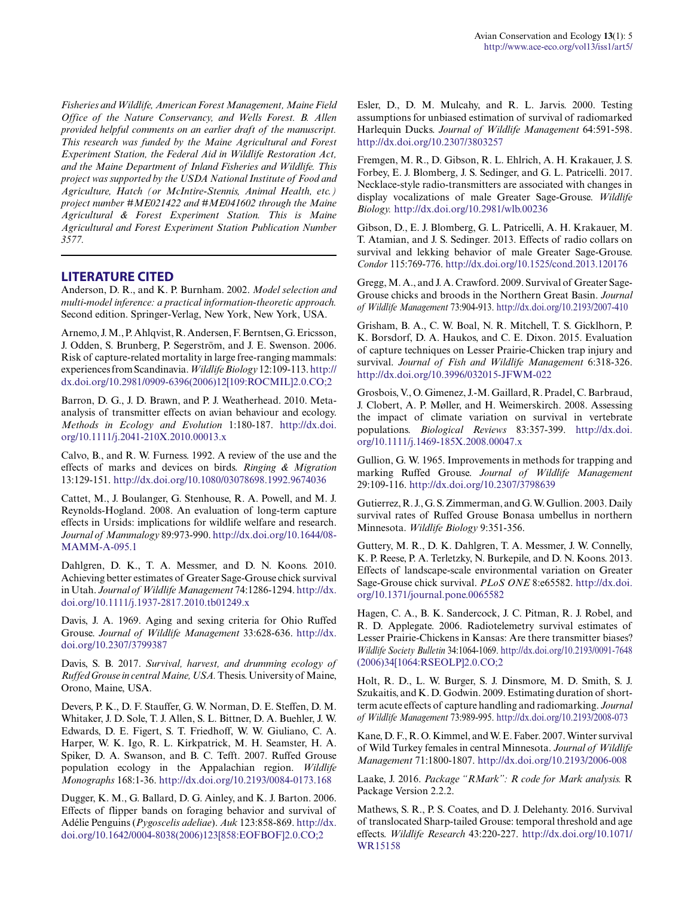*Fisheries and Wildlife, American Forest Management, Maine Field Office of the Nature Conservancy, and Wells Forest. B. Allen provided helpful comments on an earlier draft of the manuscript. This research was funded by the Maine Agricultural and Forest Experiment Station, the Federal Aid in Wildlife Restoration Act, and the Maine Department of Inland Fisheries and Wildlife. This project was supported by the USDA National Institute of Food and Agriculture, Hatch (or McIntire-Stennis, Animal Health, etc.) project number #ME021422 and #ME041602 through the Maine Agricultural & Forest Experiment Station. This is Maine Agricultural and Forest Experiment Station Publication Number 3577.*

### **LITERATURE CITED**

Anderson, D. R., and K. P. Burnham. 2002. *Model selection and multi-model inference: a practical information-theoretic approach.* Second edition. Springer-Verlag, New York, New York, USA.

Arnemo, J. M., P. Ahlqvist, R. Andersen, F. Berntsen, G. Ericsson, J. Odden, S. Brunberg, P. Segerström, and J. E. Swenson. 2006. Risk of capture-related mortality in large free-ranging mammals: experiences from Scandinavia. *Wildlife Biology* 12:109-113. [http://](http://dx.doi.org/10.2981%2F0909-6396%282006%2912%5B109%3AROCMIL%5D2.0.CO%3B2) [dx.doi.org/10.2981/0909-6396\(2006\)12\[109:ROCMIL\]2.0.CO;2](http://dx.doi.org/10.2981%2F0909-6396%282006%2912%5B109%3AROCMIL%5D2.0.CO%3B2) 

Barron, D. G., J. D. Brawn, and P. J. Weatherhead. 2010. Metaanalysis of transmitter effects on avian behaviour and ecology. *Methods in Ecology and Evolution* 1:180-187. [http://dx.doi.](http://dx.doi.org/10.1111%2Fj.2041-210X.2010.00013.x) [org/10.1111/j.2041-210X.2010.00013.x](http://dx.doi.org/10.1111%2Fj.2041-210X.2010.00013.x) 

Calvo, B., and R. W. Furness. 1992. A review of the use and the effects of marks and devices on birds. *Ringing & Migration* 13:129-151. [http://dx.doi.org/10.1080/03078698.1992.9674036](http://dx.doi.org/10.1080%2F03078698.1992.9674036) 

Cattet, M., J. Boulanger, G. Stenhouse, R. A. Powell, and M. J. Reynolds-Hogland. 2008. An evaluation of long-term capture effects in Ursids: implications for wildlife welfare and research. *Journal of Mammalogy* 89:973-990. [http://dx.doi.org/10.1644/08-](http://dx.doi.org/10.1644%2F08-MAMM-A-095.1) [MAMM-A-095.1](http://dx.doi.org/10.1644%2F08-MAMM-A-095.1)

Dahlgren, D. K., T. A. Messmer, and D. N. Koons. 2010. Achieving better estimates of Greater Sage-Grouse chick survival in Utah. *Journal of Wildlife Management* 74:1286-1294. [http://dx.](http://dx.doi.org/10.1111%2Fj.1937-2817.2010.tb01249.x) [doi.org/10.1111/j.1937-2817.2010.tb01249.x](http://dx.doi.org/10.1111%2Fj.1937-2817.2010.tb01249.x)

Davis, J. A. 1969. Aging and sexing criteria for Ohio Ruffed Grouse. *Journal of Wildlife Management* 33:628-636. [http://dx.](http://dx.doi.org/10.2307%2F3799387) [doi.org/10.2307/3799387](http://dx.doi.org/10.2307%2F3799387) 

Davis, S. B. 2017. *Survival, harvest, and drumming ecology of Ruffed Grouse in central Maine, USA.* Thesis. University of Maine, Orono, Maine, USA.

Devers, P. K., D. F. Stauffer, G. W. Norman, D. E. Steffen, D. M. Whitaker, J. D. Sole, T. J. Allen, S. L. Bittner, D. A. Buehler, J. W. Edwards, D. E. Figert, S. T. Friedhoff, W. W. Giuliano, C. A. Harper, W. K. Igo, R. L. Kirkpatrick, M. H. Seamster, H. A. Spiker, D. A. Swanson, and B. C. Tefft. 2007. Ruffed Grouse population ecology in the Appalachian region. *Wildlife Monographs* 168:1-36. [http://dx.doi.org/10.2193/0084-0173.168](http://dx.doi.org/10.2193%2F0084-0173.168) 

Dugger, K. M., G. Ballard, D. G. Ainley, and K. J. Barton. 2006. Effects of flipper bands on foraging behavior and survival of Adélie Penguins (*Pygoscelis adeliae*). *Auk* 123:858-869. [http://dx.](http://dx.doi.org/10.1642%2F0004-8038%282006%29123%5B858%3AEOFBOF%5D2.0.CO%3B2) [doi.org/10.1642/0004-8038\(2006\)123\[858:EOFBOF\]2.0.CO;2](http://dx.doi.org/10.1642%2F0004-8038%282006%29123%5B858%3AEOFBOF%5D2.0.CO%3B2)

Esler, D., D. M. Mulcahy, and R. L. Jarvis. 2000. Testing assumptions for unbiased estimation of survival of radiomarked Harlequin Ducks. *Journal of Wildlife Management* 64:591-598. [http://dx.doi.org/10.2307/3803257](http://dx.doi.org/10.2307%2F3803257) 

Fremgen, M. R., D. Gibson, R. L. Ehlrich, A. H. Krakauer, J. S. Forbey, E. J. Blomberg, J. S. Sedinger, and G. L. Patricelli. 2017. Necklace-style radio-transmitters are associated with changes in display vocalizations of male Greater Sage-Grouse. *Wildlife Biology.* [http://dx.doi.org/10.2981/wlb.00236](http://dx.doi.org/10.2981%2Fwlb.00236)

Gibson, D., E. J. Blomberg, G. L. Patricelli, A. H. Krakauer, M. T. Atamian, and J. S. Sedinger. 2013. Effects of radio collars on survival and lekking behavior of male Greater Sage-Grouse. *Condor* 115:769-776. [http://dx.doi.org/10.1525/cond.2013.120176](http://dx.doi.org/10.1525%2Fcond.2013.120176) 

Gregg, M. A., and J. A. Crawford. 2009. Survival of Greater Sage-Grouse chicks and broods in the Northern Great Basin. *Journal of Wildlife Management* 73:904-913. [http://dx.doi.org/10.2193/2007-410](http://dx.doi.org/10.2193%2F2007-410)

Grisham, B. A., C. W. Boal, N. R. Mitchell, T. S. Gicklhorn, P. K. Borsdorf, D. A. Haukos, and C. E. Dixon. 2015. Evaluation of capture techniques on Lesser Prairie-Chicken trap injury and survival. *Journal of Fish and Wildlife Management* 6:318-326. [http://dx.doi.org/10.3996/032015-JFWM-022](http://dx.doi.org/10.3996%2F032015-JFWM-022) 

Grosbois, V., O. Gimenez, J.-M. Gaillard, R. Pradel, C. Barbraud, J. Clobert, A. P. Møller, and H. Weimerskirch. 2008. Assessing the impact of climate variation on survival in vertebrate populations. *Biological Reviews* 83:357-399. [http://dx.doi.](http://dx.doi.org/10.1111%2Fj.1469-185X.2008.00047.x) [org/10.1111/j.1469-185X.2008.00047.x](http://dx.doi.org/10.1111%2Fj.1469-185X.2008.00047.x) 

Gullion, G. W. 1965. Improvements in methods for trapping and marking Ruffed Grouse. *Journal of Wildlife Management* 29:109-116. [http://dx.doi.org/10.2307/3798639](http://dx.doi.org/10.2307%2F3798639) 

Gutierrez, R. J., G. S. Zimmerman, and G. W. Gullion. 2003. Daily survival rates of Ruffed Grouse Bonasa umbellus in northern Minnesota. *Wildlife Biology* 9:351-356.

Guttery, M. R., D. K. Dahlgren, T. A. Messmer, J. W. Connelly, K. P. Reese, P. A. Terletzky, N. Burkepile, and D. N. Koons. 2013. Effects of landscape-scale environmental variation on Greater Sage-Grouse chick survival. *PLoS ONE* 8:e65582. [http://dx.doi.](http://dx.doi.org/10.1371%2Fjournal.pone.0065582) [org/10.1371/journal.pone.0065582](http://dx.doi.org/10.1371%2Fjournal.pone.0065582) 

Hagen, C. A., B. K. Sandercock, J. C. Pitman, R. J. Robel, and R. D. Applegate. 2006. Radiotelemetry survival estimates of Lesser Prairie-Chickens in Kansas: Are there transmitter biases? *Wildlife Society Bulletin* 34:1064-1069. [http://dx.doi.org/10.2193/0091-7648](http://dx.doi.org/10.2193%2F0091-7648%282006%2934%5B1064%3ARSEOLP%5D2.0.CO%3B2) [\(2006\)34\[1064:RSEOLP\]2.0.CO;2](http://dx.doi.org/10.2193%2F0091-7648%282006%2934%5B1064%3ARSEOLP%5D2.0.CO%3B2) 

Holt, R. D., L. W. Burger, S. J. Dinsmore, M. D. Smith, S. J. Szukaitis, and K. D. Godwin. 2009. Estimating duration of shortterm acute effects of capture handling and radiomarking. *Journal of Wildlife Management* 73:989-995. [http://dx.doi.org/10.2193/2008-073](http://dx.doi.org/10.2193%2F2008-073)

Kane, D. F., R. O. Kimmel, and W. E. Faber. 2007. Winter survival of Wild Turkey females in central Minnesota. *Journal of Wildlife Management* 71:1800-1807. [http://dx.doi.org/10.2193/2006-008](http://dx.doi.org/10.2193%2F2006-008)

Laake, J. 2016. *Package "RMark": R code for Mark analysis.* R Package Version 2.2.2.

Mathews, S. R., P. S. Coates, and D. J. Delehanty. 2016. Survival of translocated Sharp-tailed Grouse: temporal threshold and age effects. *Wildlife Research* 43:220-227. [http://dx.doi.org/10.1071/](http://dx.doi.org/10.1071%2FWR15158) [WR15158](http://dx.doi.org/10.1071%2FWR15158)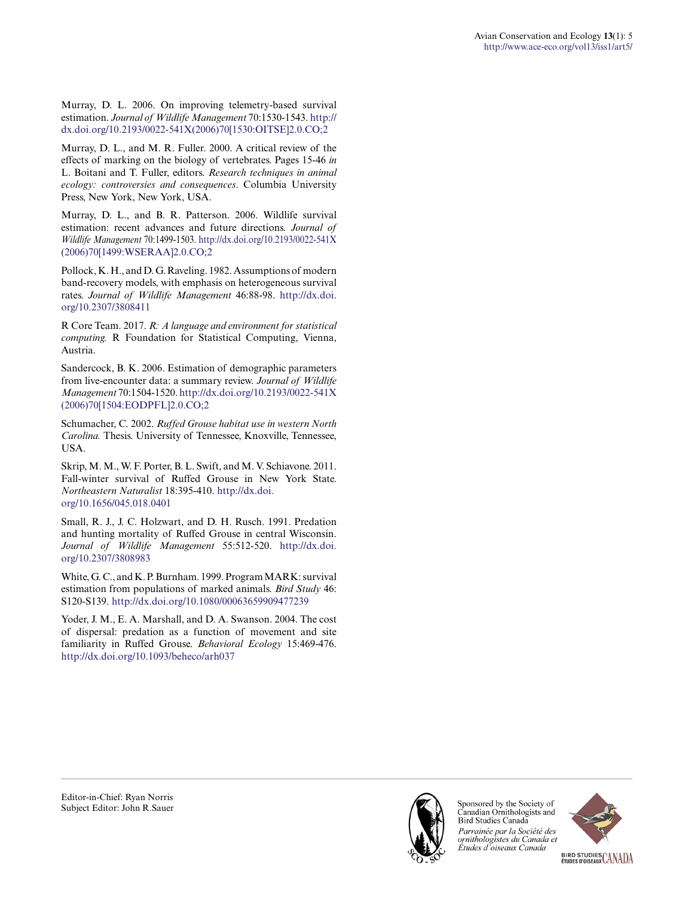Murray, D. L. 2006. On improving telemetry-based survival estimation. *Journal of Wildlife Management* 70:1530-1543. [http://](http://dx.doi.org/10.2193%2F0022-541X%282006%2970%5B1530%3AOITSE%5D2.0.CO%3B2) [dx.doi.org/10.2193/0022-541X\(2006\)70\[1530:OITSE\]2.0.CO;2](http://dx.doi.org/10.2193%2F0022-541X%282006%2970%5B1530%3AOITSE%5D2.0.CO%3B2)

Murray, D. L., and M. R. Fuller. 2000. A critical review of the effects of marking on the biology of vertebrates. Pages 15-46 *in* L. Boitani and T. Fuller, editors. *Research techniques in animal ecology: controversies and consequences*. Columbia University Press, New York, New York, USA.

Murray, D. L., and B. R. Patterson. 2006. Wildlife survival estimation: recent advances and future directions. *Journal of Wildlife Management* 70:1499-1503. [http://dx.doi.org/10.2193/0022-541X](http://dx.doi.org/10.2193%2F0022-541X%282006%2970%5B1499%3AWSERAA%5D2.0.CO%3B2) [\(2006\)70\[1499:WSERAA\]2.0.CO;2](http://dx.doi.org/10.2193%2F0022-541X%282006%2970%5B1499%3AWSERAA%5D2.0.CO%3B2)

Pollock, K. H., and D. G. Raveling. 1982. Assumptions of modern band-recovery models, with emphasis on heterogeneous survival rates. *Journal of Wildlife Management* 46:88-98. [http://dx.doi.](http://dx.doi.org/10.2307%2F3808411) [org/10.2307/3808411](http://dx.doi.org/10.2307%2F3808411) 

R Core Team. 2017. *R: A language and environment for statistical computing.* R Foundation for Statistical Computing, Vienna, Austria.

Sandercock, B. K. 2006. Estimation of demographic parameters from live-encounter data: a summary review. *Journal of Wildlife Management* 70:1504-1520. [http://dx.doi.org/10.2193/0022-541X](http://dx.doi.org/10.2193%2F0022-541X%282006%2970%5B1504%3AEODPFL%5D2.0.CO%3B2) [\(2006\)70\[1504:EODPFL\]2.0.CO;2](http://dx.doi.org/10.2193%2F0022-541X%282006%2970%5B1504%3AEODPFL%5D2.0.CO%3B2)

Schumacher, C. 2002. *Ruffed Grouse habitat use in western North Carolina.* Thesis. University of Tennessee, Knoxville, Tennessee, USA.

Skrip, M. M., W. F. Porter, B. L. Swift, and M. V. Schiavone. 2011. Fall-winter survival of Ruffed Grouse in New York State. *Northeastern Naturalist* 18:395-410. [http://dx.doi.](http://dx.doi.org/10.1656%2F045.018.0401) [org/10.1656/045.018.0401](http://dx.doi.org/10.1656%2F045.018.0401)

Small, R. J., J. C. Holzwart, and D. H. Rusch. 1991. Predation and hunting mortality of Ruffed Grouse in central Wisconsin. *Journal of Wildlife Management* 55:512-520. [http://dx.doi.](http://dx.doi.org/10.2307%2F3808983) [org/10.2307/3808983](http://dx.doi.org/10.2307%2F3808983) 

White, G. C., and K. P. Burnham. 1999. Program MARK: survival estimation from populations of marked animals. *Bird Study* 46: S120-S139. [http://dx.doi.org/10.1080/00063659909477239](http://dx.doi.org/10.1080%2F00063659909477239)

Yoder, J. M., E. A. Marshall, and D. A. Swanson. 2004. The cost of dispersal: predation as a function of movement and site familiarity in Ruffed Grouse. *Behavioral Ecology* 15:469-476. [http://dx.doi.org/10.1093/beheco/arh037](http://dx.doi.org/10.1093%2Fbeheco%2Farh037)

Editor-in-Chief: Ryan Norris Subject Editor: John R.Sauer



Sponsored by the Society of Canadian Ornithologists and Bird Studies Canada Parrainée par la Société des ornithologistes du Canada et Études d'oiseaux Canada



BIRD STUDIES CANADA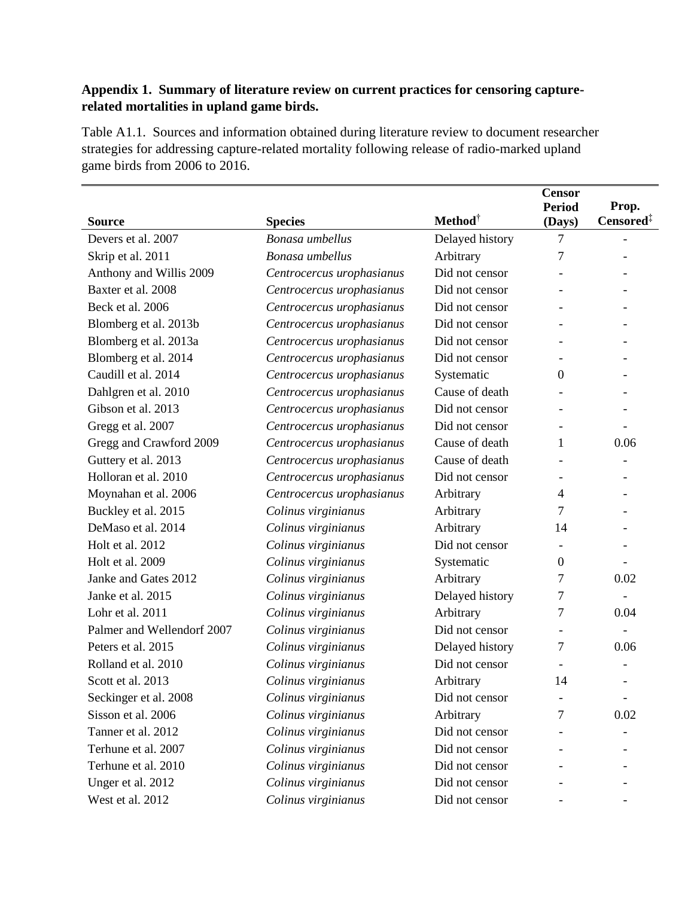## **Appendix 1. Summary of literature review on current practices for censoring capturerelated mortalities in upland game birds.**

|                            |                           |                     | <b>Censor</b><br><b>Period</b> | Prop.                    |
|----------------------------|---------------------------|---------------------|--------------------------------|--------------------------|
| <b>Source</b>              | <b>Species</b>            | Method <sup>†</sup> | (Days)                         | Censored <sup>1</sup>    |
| Devers et al. 2007         | Bonasa umbellus           | Delayed history     | 7                              |                          |
| Skrip et al. 2011          | Bonasa umbellus           | Arbitrary           | 7                              |                          |
| Anthony and Willis 2009    | Centrocercus urophasianus | Did not censor      |                                |                          |
| Baxter et al. 2008         | Centrocercus urophasianus | Did not censor      |                                |                          |
| Beck et al. 2006           | Centrocercus urophasianus | Did not censor      |                                |                          |
| Blomberg et al. 2013b      | Centrocercus urophasianus | Did not censor      |                                |                          |
| Blomberg et al. 2013a      | Centrocercus urophasianus | Did not censor      |                                |                          |
| Blomberg et al. 2014       | Centrocercus urophasianus | Did not censor      |                                |                          |
| Caudill et al. 2014        | Centrocercus urophasianus | Systematic          | $\Omega$                       |                          |
| Dahlgren et al. 2010       | Centrocercus urophasianus | Cause of death      |                                |                          |
| Gibson et al. 2013         | Centrocercus urophasianus | Did not censor      |                                |                          |
| Gregg et al. 2007          | Centrocercus urophasianus | Did not censor      |                                |                          |
| Gregg and Crawford 2009    | Centrocercus urophasianus | Cause of death      | 1                              | 0.06                     |
| Guttery et al. 2013        | Centrocercus urophasianus | Cause of death      |                                |                          |
| Holloran et al. 2010       | Centrocercus urophasianus | Did not censor      |                                |                          |
| Moynahan et al. 2006       | Centrocercus urophasianus | Arbitrary           | 4                              |                          |
| Buckley et al. 2015        | Colinus virginianus       | Arbitrary           | 7                              |                          |
| DeMaso et al. 2014         | Colinus virginianus       | Arbitrary           | 14                             |                          |
| Holt et al. 2012           | Colinus virginianus       | Did not censor      |                                |                          |
| Holt et al. 2009           | Colinus virginianus       | Systematic          | $\boldsymbol{0}$               |                          |
| Janke and Gates 2012       | Colinus virginianus       | Arbitrary           | 7                              | 0.02                     |
| Janke et al. 2015          | Colinus virginianus       | Delayed history     | 7                              |                          |
| Lohr et al. 2011           | Colinus virginianus       | Arbitrary           | 7                              | 0.04                     |
| Palmer and Wellendorf 2007 | Colinus virginianus       | Did not censor      |                                |                          |
| Peters et al. 2015         | Colinus virginianus       | Delayed history     | 7                              | 0.06                     |
| Rolland et al. 2010        | Colinus virginianus       | Did not censor      |                                |                          |
| Scott et al. 2013          | Colinus virginianus       | Arbitrary           | 14                             |                          |
| Seckinger et al. 2008      | Colinus virginianus       | Did not censor      |                                | $\overline{\phantom{a}}$ |
| Sisson et al. 2006         | Colinus virginianus       | Arbitrary           | 7                              | 0.02                     |
| Tanner et al. 2012         | Colinus virginianus       | Did not censor      |                                |                          |
| Terhune et al. 2007        | Colinus virginianus       | Did not censor      |                                |                          |
| Terhune et al. 2010        | Colinus virginianus       | Did not censor      |                                |                          |
| Unger et al. 2012          | Colinus virginianus       | Did not censor      |                                |                          |
| West et al. 2012           | Colinus virginianus       | Did not censor      |                                |                          |

Table A1.1. Sources and information obtained during literature review to document researcher strategies for addressing capture-related mortality following release of radio-marked upland game birds from 2006 to 2016.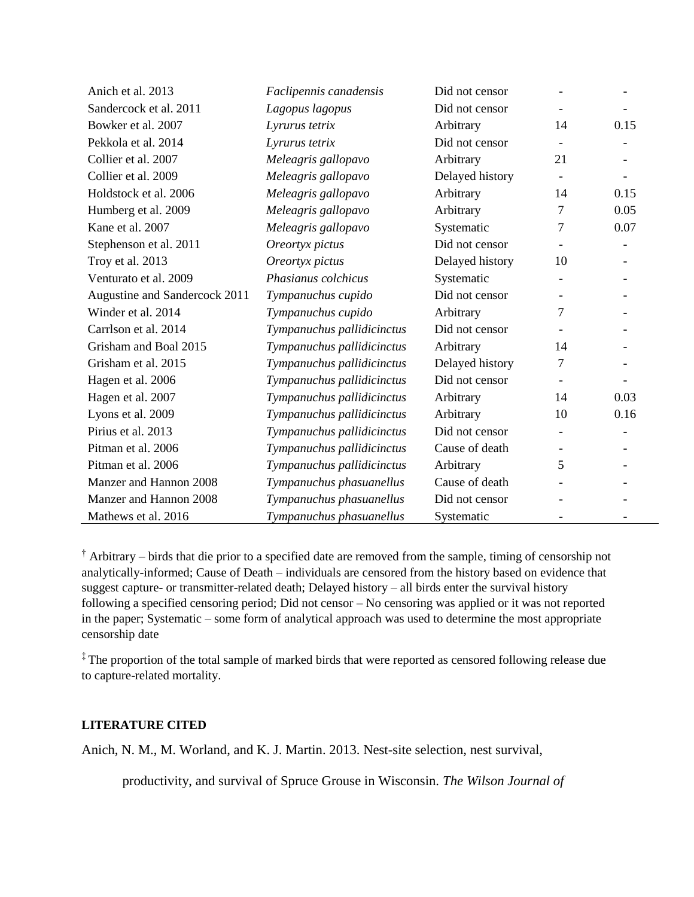| Anich et al. 2013             | Faclipennis canadensis     | Did not censor  |                          |      |
|-------------------------------|----------------------------|-----------------|--------------------------|------|
| Sandercock et al. 2011        | Lagopus lagopus            | Did not censor  |                          |      |
| Bowker et al. 2007            | Lyrurus tetrix             | Arbitrary       | 14                       | 0.15 |
| Pekkola et al. 2014           | Lyrurus tetrix             | Did not censor  |                          |      |
| Collier et al. 2007           | Meleagris gallopavo        | Arbitrary       | 21                       |      |
| Collier et al. 2009           | Meleagris gallopavo        | Delayed history |                          |      |
| Holdstock et al. 2006         | Meleagris gallopavo        | Arbitrary       | 14                       | 0.15 |
| Humberg et al. 2009           | Meleagris gallopavo        | Arbitrary       | 7                        | 0.05 |
| Kane et al. 2007              | Meleagris gallopavo        | Systematic      | 7                        | 0.07 |
| Stephenson et al. 2011        | Oreortyx pictus            | Did not censor  |                          |      |
| Troy et al. 2013              | Oreortyx pictus            | Delayed history | 10                       |      |
| Venturato et al. 2009         | Phasianus colchicus        | Systematic      |                          |      |
| Augustine and Sandercock 2011 | Tympanuchus cupido         | Did not censor  |                          |      |
| Winder et al. 2014            | Tympanuchus cupido         | Arbitrary       | 7                        |      |
| Carrlson et al. 2014          | Tympanuchus pallidicinctus | Did not censor  |                          |      |
| Grisham and Boal 2015         | Tympanuchus pallidicinctus | Arbitrary       | 14                       |      |
| Grisham et al. 2015           | Tympanuchus pallidicinctus | Delayed history | 7                        |      |
| Hagen et al. 2006             | Tympanuchus pallidicinctus | Did not censor  | $\overline{\phantom{a}}$ |      |
| Hagen et al. 2007             | Tympanuchus pallidicinctus | Arbitrary       | 14                       | 0.03 |
| Lyons et al. 2009             | Tympanuchus pallidicinctus | Arbitrary       | 10                       | 0.16 |
| Pirius et al. 2013            | Tympanuchus pallidicinctus | Did not censor  |                          |      |
| Pitman et al. 2006            | Tympanuchus pallidicinctus | Cause of death  |                          |      |
| Pitman et al. 2006            | Tympanuchus pallidicinctus | Arbitrary       | 5                        |      |
| Manzer and Hannon 2008        | Tympanuchus phasuanellus   | Cause of death  |                          |      |
| Manzer and Hannon 2008        | Tympanuchus phasuanellus   | Did not censor  |                          |      |
| Mathews et al. 2016           | Tympanuchus phasuanellus   | Systematic      |                          |      |

† Arbitrary – birds that die prior to a specified date are removed from the sample, timing of censorship not analytically-informed; Cause of Death – individuals are censored from the history based on evidence that suggest capture- or transmitter-related death; Delayed history – all birds enter the survival history following a specified censoring period; Did not censor – No censoring was applied or it was not reported in the paper; Systematic – some form of analytical approach was used to determine the most appropriate censorship date

<sup>‡</sup> The proportion of the total sample of marked birds that were reported as censored following release due to capture-related mortality.

### **LITERATURE CITED**

Anich, N. M., M. Worland, and K. J. Martin. 2013. Nest-site selection, nest survival,

productivity, and survival of Spruce Grouse in Wisconsin. *The Wilson Journal of*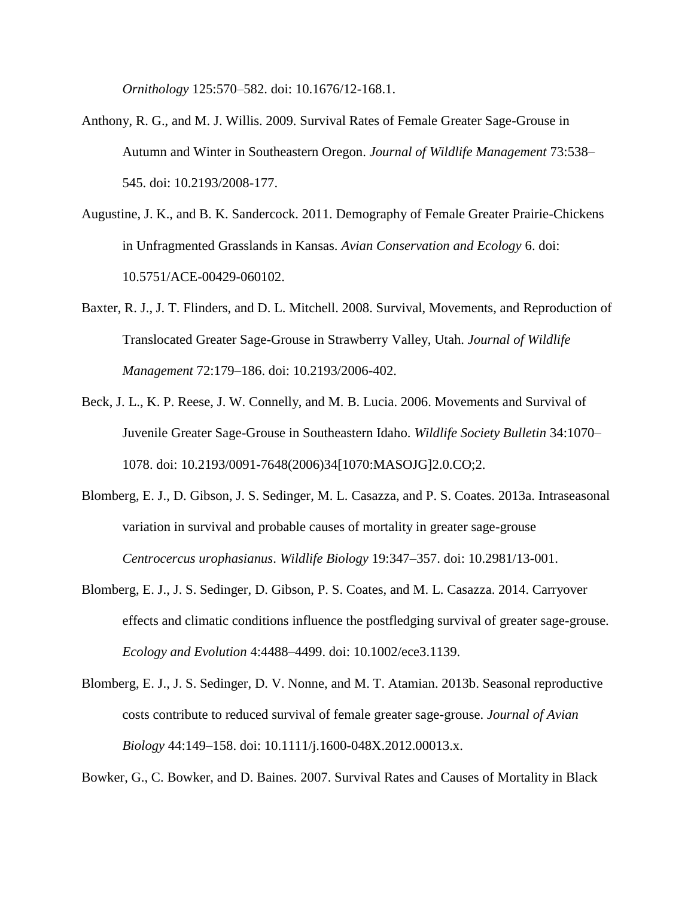*Ornithology* 125:570–582. doi: 10.1676/12-168.1.

- Anthony, R. G., and M. J. Willis. 2009. Survival Rates of Female Greater Sage-Grouse in Autumn and Winter in Southeastern Oregon. *Journal of Wildlife Management* 73:538– 545. doi: 10.2193/2008-177.
- Augustine, J. K., and B. K. Sandercock. 2011. Demography of Female Greater Prairie-Chickens in Unfragmented Grasslands in Kansas. *Avian Conservation and Ecology* 6. doi: 10.5751/ACE-00429-060102.
- Baxter, R. J., J. T. Flinders, and D. L. Mitchell. 2008. Survival, Movements, and Reproduction of Translocated Greater Sage-Grouse in Strawberry Valley, Utah. *Journal of Wildlife Management* 72:179–186. doi: 10.2193/2006-402.
- Beck, J. L., K. P. Reese, J. W. Connelly, and M. B. Lucia. 2006. Movements and Survival of Juvenile Greater Sage-Grouse in Southeastern Idaho. *Wildlife Society Bulletin* 34:1070– 1078. doi: 10.2193/0091-7648(2006)34[1070:MASOJG]2.0.CO;2.
- Blomberg, E. J., D. Gibson, J. S. Sedinger, M. L. Casazza, and P. S. Coates. 2013a. Intraseasonal variation in survival and probable causes of mortality in greater sage-grouse *Centrocercus urophasianus*. *Wildlife Biology* 19:347–357. doi: 10.2981/13-001.
- Blomberg, E. J., J. S. Sedinger, D. Gibson, P. S. Coates, and M. L. Casazza. 2014. Carryover effects and climatic conditions influence the postfledging survival of greater sage-grouse. *Ecology and Evolution* 4:4488–4499. doi: 10.1002/ece3.1139.
- Blomberg, E. J., J. S. Sedinger, D. V. Nonne, and M. T. Atamian. 2013b. Seasonal reproductive costs contribute to reduced survival of female greater sage-grouse. *Journal of Avian Biology* 44:149–158. doi: 10.1111/j.1600-048X.2012.00013.x.

Bowker, G., C. Bowker, and D. Baines. 2007. Survival Rates and Causes of Mortality in Black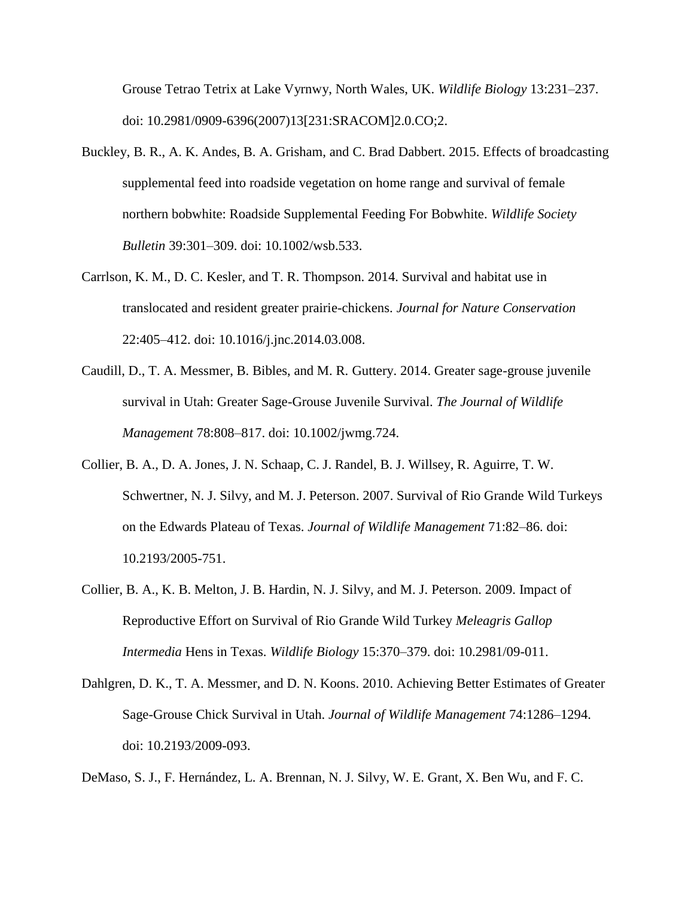Grouse Tetrao Tetrix at Lake Vyrnwy, North Wales, UK. *Wildlife Biology* 13:231–237. doi: 10.2981/0909-6396(2007)13[231:SRACOM]2.0.CO;2.

- Buckley, B. R., A. K. Andes, B. A. Grisham, and C. Brad Dabbert. 2015. Effects of broadcasting supplemental feed into roadside vegetation on home range and survival of female northern bobwhite: Roadside Supplemental Feeding For Bobwhite. *Wildlife Society Bulletin* 39:301–309. doi: 10.1002/wsb.533.
- Carrlson, K. M., D. C. Kesler, and T. R. Thompson. 2014. Survival and habitat use in translocated and resident greater prairie-chickens. *Journal for Nature Conservation* 22:405–412. doi: 10.1016/j.jnc.2014.03.008.
- Caudill, D., T. A. Messmer, B. Bibles, and M. R. Guttery. 2014. Greater sage-grouse juvenile survival in Utah: Greater Sage-Grouse Juvenile Survival. *The Journal of Wildlife Management* 78:808–817. doi: 10.1002/jwmg.724.
- Collier, B. A., D. A. Jones, J. N. Schaap, C. J. Randel, B. J. Willsey, R. Aguirre, T. W. Schwertner, N. J. Silvy, and M. J. Peterson. 2007. Survival of Rio Grande Wild Turkeys on the Edwards Plateau of Texas. *Journal of Wildlife Management* 71:82–86. doi: 10.2193/2005-751.
- Collier, B. A., K. B. Melton, J. B. Hardin, N. J. Silvy, and M. J. Peterson. 2009. Impact of Reproductive Effort on Survival of Rio Grande Wild Turkey *Meleagris Gallop Intermedia* Hens in Texas. *Wildlife Biology* 15:370–379. doi: 10.2981/09-011.
- Dahlgren, D. K., T. A. Messmer, and D. N. Koons. 2010. Achieving Better Estimates of Greater Sage-Grouse Chick Survival in Utah. *Journal of Wildlife Management* 74:1286–1294. doi: 10.2193/2009-093.

DeMaso, S. J., F. Hernández, L. A. Brennan, N. J. Silvy, W. E. Grant, X. Ben Wu, and F. C.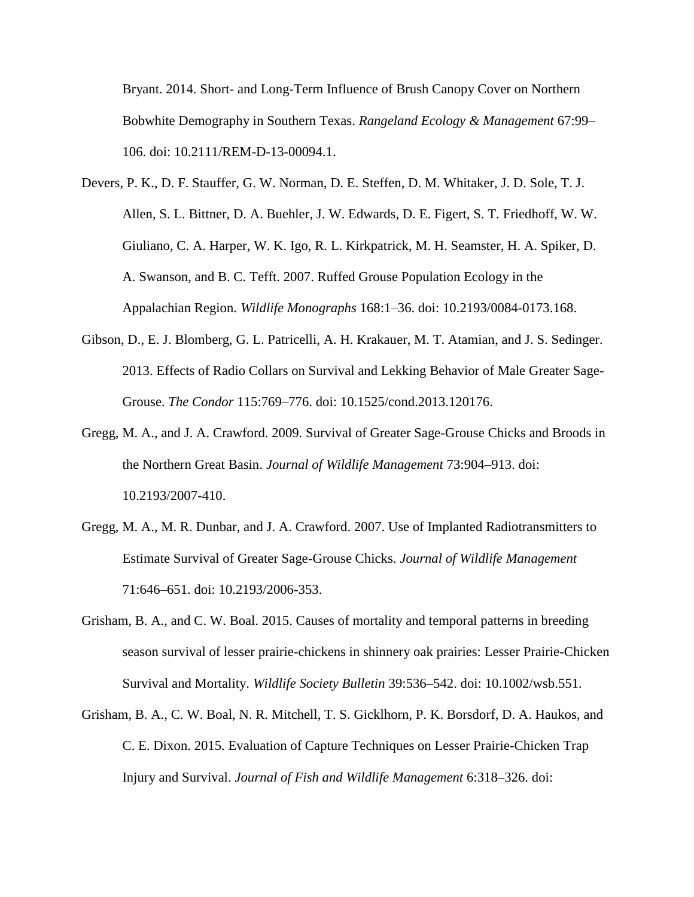Bryant. 2014. Short- and Long-Term Influence of Brush Canopy Cover on Northern Bobwhite Demography in Southern Texas. *Rangeland Ecology & Management* 67:99– 106. doi: 10.2111/REM-D-13-00094.1.

- Devers, P. K., D. F. Stauffer, G. W. Norman, D. E. Steffen, D. M. Whitaker, J. D. Sole, T. J. Allen, S. L. Bittner, D. A. Buehler, J. W. Edwards, D. E. Figert, S. T. Friedhoff, W. W. Giuliano, C. A. Harper, W. K. Igo, R. L. Kirkpatrick, M. H. Seamster, H. A. Spiker, D. A. Swanson, and B. C. Tefft. 2007. Ruffed Grouse Population Ecology in the Appalachian Region. *Wildlife Monographs* 168:1–36. doi: 10.2193/0084-0173.168.
- Gibson, D., E. J. Blomberg, G. L. Patricelli, A. H. Krakauer, M. T. Atamian, and J. S. Sedinger. 2013. Effects of Radio Collars on Survival and Lekking Behavior of Male Greater Sage-Grouse. *The Condor* 115:769–776. doi: 10.1525/cond.2013.120176.
- Gregg, M. A., and J. A. Crawford. 2009. Survival of Greater Sage-Grouse Chicks and Broods in the Northern Great Basin. *Journal of Wildlife Management* 73:904–913. doi: 10.2193/2007-410.
- Gregg, M. A., M. R. Dunbar, and J. A. Crawford. 2007. Use of Implanted Radiotransmitters to Estimate Survival of Greater Sage-Grouse Chicks. *Journal of Wildlife Management* 71:646–651. doi: 10.2193/2006-353.
- Grisham, B. A., and C. W. Boal. 2015. Causes of mortality and temporal patterns in breeding season survival of lesser prairie-chickens in shinnery oak prairies: Lesser Prairie-Chicken Survival and Mortality. *Wildlife Society Bulletin* 39:536–542. doi: 10.1002/wsb.551.
- Grisham, B. A., C. W. Boal, N. R. Mitchell, T. S. Gicklhorn, P. K. Borsdorf, D. A. Haukos, and C. E. Dixon. 2015. Evaluation of Capture Techniques on Lesser Prairie-Chicken Trap Injury and Survival. *Journal of Fish and Wildlife Management* 6:318–326. doi: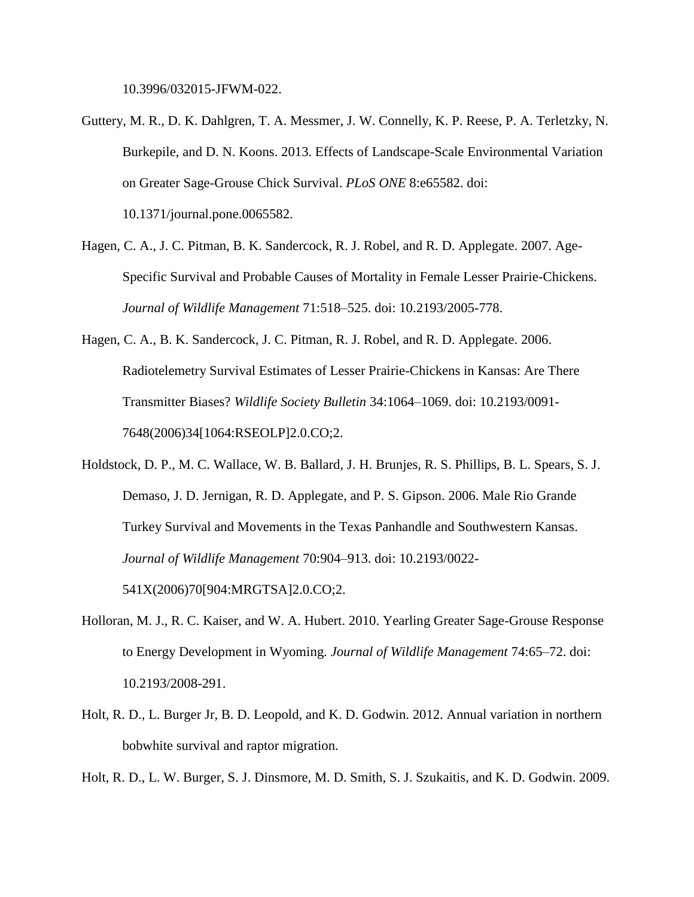10.3996/032015-JFWM-022.

- Guttery, M. R., D. K. Dahlgren, T. A. Messmer, J. W. Connelly, K. P. Reese, P. A. Terletzky, N. Burkepile, and D. N. Koons. 2013. Effects of Landscape-Scale Environmental Variation on Greater Sage-Grouse Chick Survival. *PLoS ONE* 8:e65582. doi: 10.1371/journal.pone.0065582.
- Hagen, C. A., J. C. Pitman, B. K. Sandercock, R. J. Robel, and R. D. Applegate. 2007. Age-Specific Survival and Probable Causes of Mortality in Female Lesser Prairie-Chickens. *Journal of Wildlife Management* 71:518–525. doi: 10.2193/2005-778.
- Hagen, C. A., B. K. Sandercock, J. C. Pitman, R. J. Robel, and R. D. Applegate. 2006. Radiotelemetry Survival Estimates of Lesser Prairie-Chickens in Kansas: Are There Transmitter Biases? *Wildlife Society Bulletin* 34:1064–1069. doi: 10.2193/0091- 7648(2006)34[1064:RSEOLP]2.0.CO;2.
- Holdstock, D. P., M. C. Wallace, W. B. Ballard, J. H. Brunjes, R. S. Phillips, B. L. Spears, S. J. Demaso, J. D. Jernigan, R. D. Applegate, and P. S. Gipson. 2006. Male Rio Grande Turkey Survival and Movements in the Texas Panhandle and Southwestern Kansas. *Journal of Wildlife Management* 70:904–913. doi: 10.2193/0022- 541X(2006)70[904:MRGTSA]2.0.CO;2.
- Holloran, M. J., R. C. Kaiser, and W. A. Hubert. 2010. Yearling Greater Sage-Grouse Response to Energy Development in Wyoming. *Journal of Wildlife Management* 74:65–72. doi: 10.2193/2008-291.
- Holt, R. D., L. Burger Jr, B. D. Leopold, and K. D. Godwin. 2012. Annual variation in northern bobwhite survival and raptor migration.

Holt, R. D., L. W. Burger, S. J. Dinsmore, M. D. Smith, S. J. Szukaitis, and K. D. Godwin. 2009.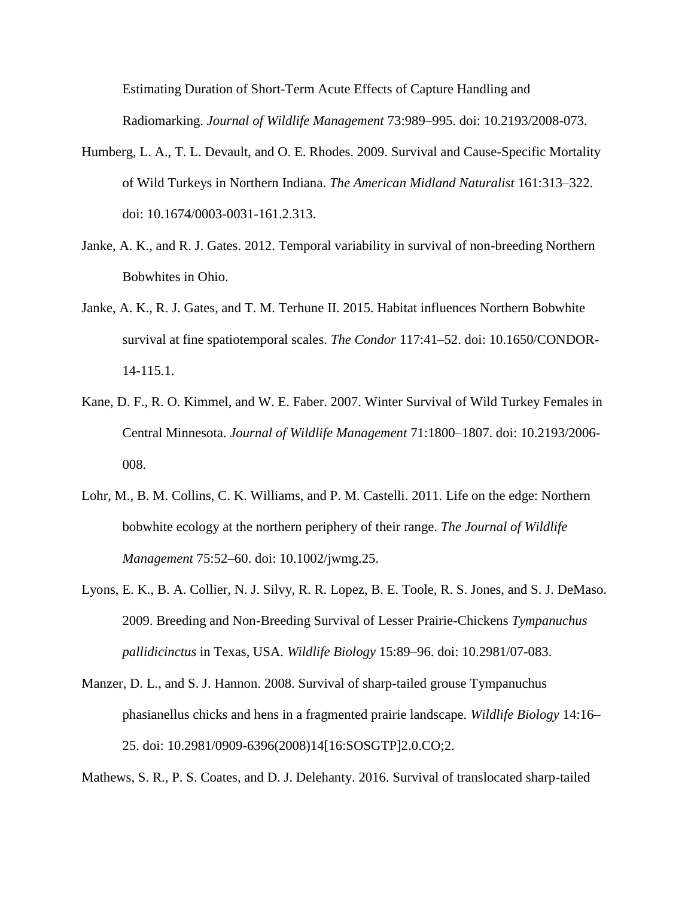Estimating Duration of Short-Term Acute Effects of Capture Handling and Radiomarking. *Journal of Wildlife Management* 73:989–995. doi: 10.2193/2008-073.

- Humberg, L. A., T. L. Devault, and O. E. Rhodes. 2009. Survival and Cause-Specific Mortality of Wild Turkeys in Northern Indiana. *The American Midland Naturalist* 161:313–322. doi: 10.1674/0003-0031-161.2.313.
- Janke, A. K., and R. J. Gates. 2012. Temporal variability in survival of non-breeding Northern Bobwhites in Ohio.
- Janke, A. K., R. J. Gates, and T. M. Terhune II. 2015. Habitat influences Northern Bobwhite survival at fine spatiotemporal scales. *The Condor* 117:41–52. doi: 10.1650/CONDOR-14-115.1.
- Kane, D. F., R. O. Kimmel, and W. E. Faber. 2007. Winter Survival of Wild Turkey Females in Central Minnesota. *Journal of Wildlife Management* 71:1800–1807. doi: 10.2193/2006- 008.
- Lohr, M., B. M. Collins, C. K. Williams, and P. M. Castelli. 2011. Life on the edge: Northern bobwhite ecology at the northern periphery of their range. *The Journal of Wildlife Management* 75:52–60. doi: 10.1002/jwmg.25.
- Lyons, E. K., B. A. Collier, N. J. Silvy, R. R. Lopez, B. E. Toole, R. S. Jones, and S. J. DeMaso. 2009. Breeding and Non-Breeding Survival of Lesser Prairie-Chickens *Tympanuchus pallidicinctus* in Texas, USA. *Wildlife Biology* 15:89–96. doi: 10.2981/07-083.
- Manzer, D. L., and S. J. Hannon. 2008. Survival of sharp-tailed grouse Tympanuchus phasianellus chicks and hens in a fragmented prairie landscape. *Wildlife Biology* 14:16– 25. doi: 10.2981/0909-6396(2008)14[16:SOSGTP]2.0.CO;2.

Mathews, S. R., P. S. Coates, and D. J. Delehanty. 2016. Survival of translocated sharp-tailed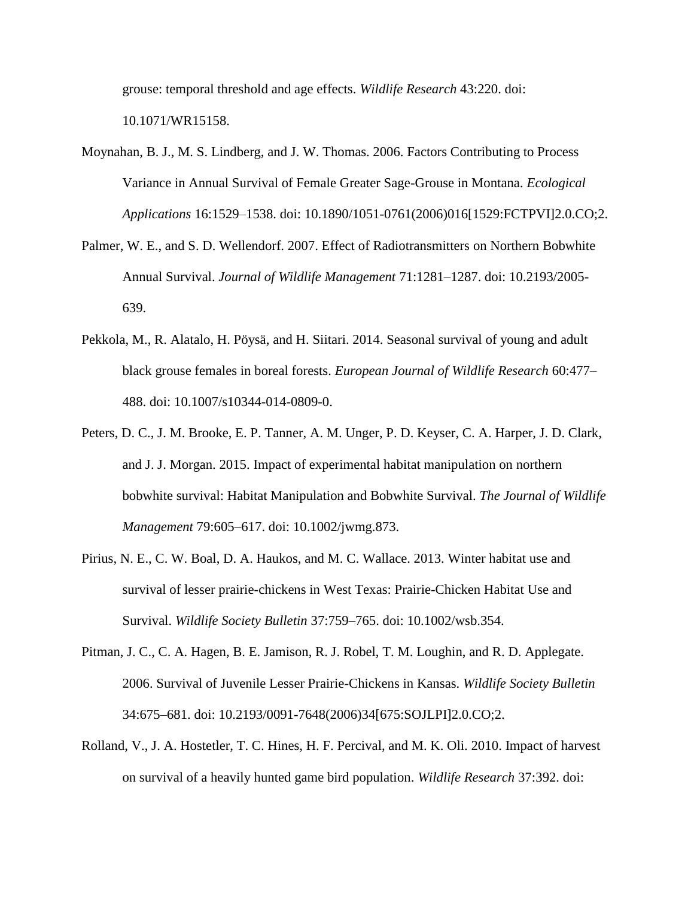grouse: temporal threshold and age effects. *Wildlife Research* 43:220. doi: 10.1071/WR15158.

- Moynahan, B. J., M. S. Lindberg, and J. W. Thomas. 2006. Factors Contributing to Process Variance in Annual Survival of Female Greater Sage-Grouse in Montana. *Ecological Applications* 16:1529–1538. doi: 10.1890/1051-0761(2006)016[1529:FCTPVI]2.0.CO;2.
- Palmer, W. E., and S. D. Wellendorf. 2007. Effect of Radiotransmitters on Northern Bobwhite Annual Survival. *Journal of Wildlife Management* 71:1281–1287. doi: 10.2193/2005- 639.
- Pekkola, M., R. Alatalo, H. Pöysä, and H. Siitari. 2014. Seasonal survival of young and adult black grouse females in boreal forests. *European Journal of Wildlife Research* 60:477– 488. doi: 10.1007/s10344-014-0809-0.
- Peters, D. C., J. M. Brooke, E. P. Tanner, A. M. Unger, P. D. Keyser, C. A. Harper, J. D. Clark, and J. J. Morgan. 2015. Impact of experimental habitat manipulation on northern bobwhite survival: Habitat Manipulation and Bobwhite Survival. *The Journal of Wildlife Management* 79:605–617. doi: 10.1002/jwmg.873.
- Pirius, N. E., C. W. Boal, D. A. Haukos, and M. C. Wallace. 2013. Winter habitat use and survival of lesser prairie-chickens in West Texas: Prairie-Chicken Habitat Use and Survival. *Wildlife Society Bulletin* 37:759–765. doi: 10.1002/wsb.354.
- Pitman, J. C., C. A. Hagen, B. E. Jamison, R. J. Robel, T. M. Loughin, and R. D. Applegate. 2006. Survival of Juvenile Lesser Prairie-Chickens in Kansas. *Wildlife Society Bulletin* 34:675–681. doi: 10.2193/0091-7648(2006)34[675:SOJLPI]2.0.CO;2.
- Rolland, V., J. A. Hostetler, T. C. Hines, H. F. Percival, and M. K. Oli. 2010. Impact of harvest on survival of a heavily hunted game bird population. *Wildlife Research* 37:392. doi: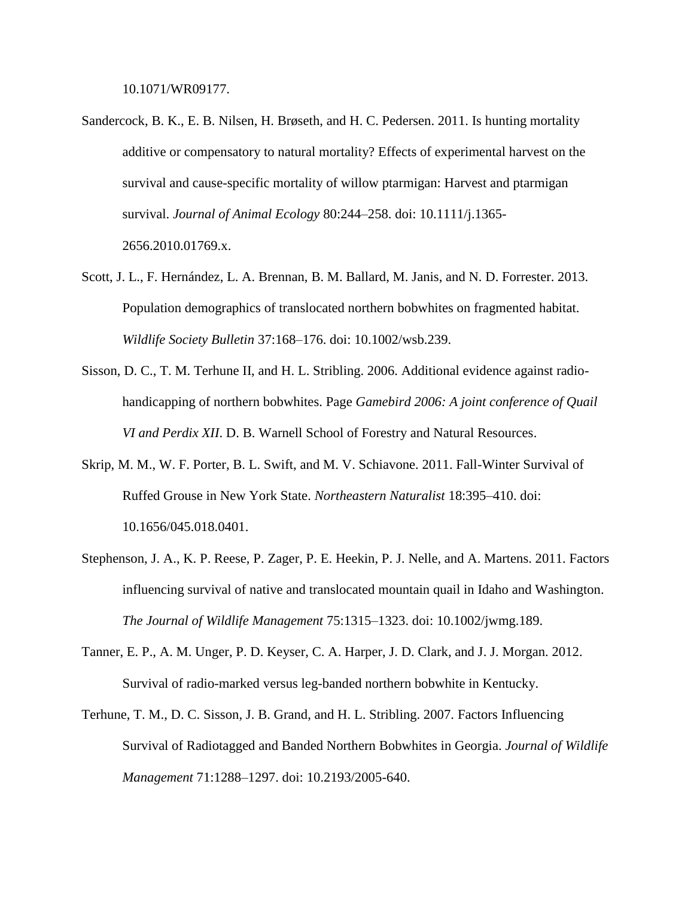10.1071/WR09177.

- Sandercock, B. K., E. B. Nilsen, H. Brøseth, and H. C. Pedersen. 2011. Is hunting mortality additive or compensatory to natural mortality? Effects of experimental harvest on the survival and cause-specific mortality of willow ptarmigan: Harvest and ptarmigan survival. *Journal of Animal Ecology* 80:244–258. doi: 10.1111/j.1365- 2656.2010.01769.x.
- Scott, J. L., F. Hernández, L. A. Brennan, B. M. Ballard, M. Janis, and N. D. Forrester. 2013. Population demographics of translocated northern bobwhites on fragmented habitat. *Wildlife Society Bulletin* 37:168–176. doi: 10.1002/wsb.239.
- Sisson, D. C., T. M. Terhune II, and H. L. Stribling. 2006. Additional evidence against radiohandicapping of northern bobwhites. Page *Gamebird 2006: A joint conference of Quail VI and Perdix XII*. D. B. Warnell School of Forestry and Natural Resources.
- Skrip, M. M., W. F. Porter, B. L. Swift, and M. V. Schiavone. 2011. Fall-Winter Survival of Ruffed Grouse in New York State. *Northeastern Naturalist* 18:395–410. doi: 10.1656/045.018.0401.
- Stephenson, J. A., K. P. Reese, P. Zager, P. E. Heekin, P. J. Nelle, and A. Martens. 2011. Factors influencing survival of native and translocated mountain quail in Idaho and Washington. *The Journal of Wildlife Management* 75:1315–1323. doi: 10.1002/jwmg.189.
- Tanner, E. P., A. M. Unger, P. D. Keyser, C. A. Harper, J. D. Clark, and J. J. Morgan. 2012. Survival of radio-marked versus leg-banded northern bobwhite in Kentucky.
- Terhune, T. M., D. C. Sisson, J. B. Grand, and H. L. Stribling. 2007. Factors Influencing Survival of Radiotagged and Banded Northern Bobwhites in Georgia. *Journal of Wildlife Management* 71:1288–1297. doi: 10.2193/2005-640.